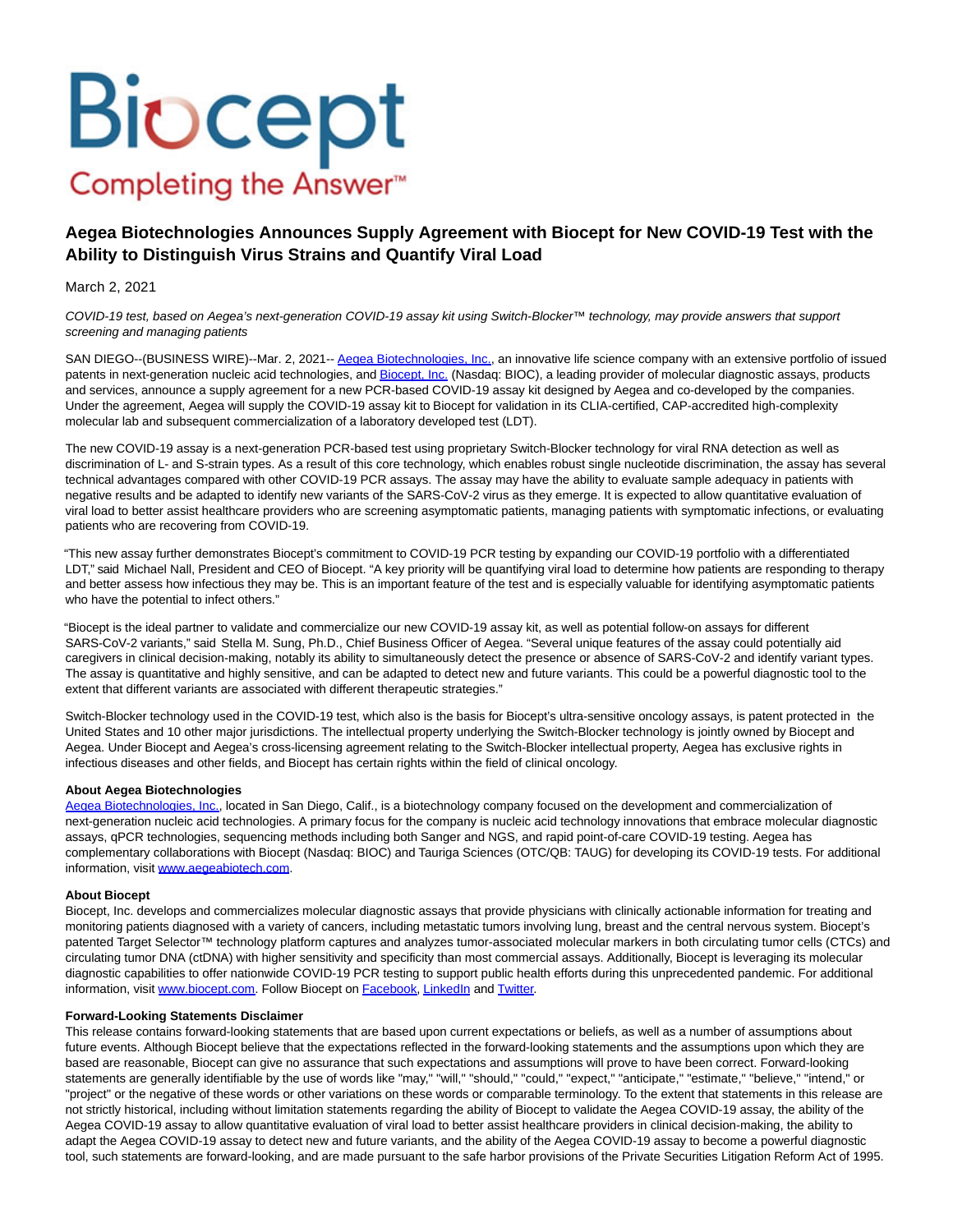# Biocept Completing the Answer<sup>™</sup>

## **Aegea Biotechnologies Announces Supply Agreement with Biocept for New COVID-19 Test with the Ability to Distinguish Virus Strains and Quantify Viral Load**

#### March 2, 2021

COVID-19 test, based on Aegea's next-generation COVID-19 assay kit using Switch-Blocker™ technology, may provide answers that support screening and managing patients

SAN DIEGO--(BUSINESS WIRE)--Mar. 2, 2021-- [Aegea Biotechnologies, Inc.,](https://cts.businesswire.com/ct/CT?id=smartlink&url=http%3A%2F%2Fwww.aegeabiotech.com&esheet=52388995&newsitemid=20210302005447&lan=en-US&anchor=Aegea+Biotechnologies%2C+Inc.&index=1&md5=b770d8850af5323a25c17a9232be40f7) an innovative life science company with an extensive portfolio of issued patents in next-generation nucleic acid technologies, an[d Biocept, Inc. \(](https://cts.businesswire.com/ct/CT?id=smartlink&url=https%3A%2F%2Fbiocept.com%2F&esheet=52388995&newsitemid=20210302005447&lan=en-US&anchor=Biocept%2C+Inc.&index=2&md5=af727234d91c3cbc5eb95403016c963c)Nasdaq: BIOC), a leading provider of molecular diagnostic assays, products and services, announce a supply agreement for a new PCR-based COVID-19 assay kit designed by Aegea and co-developed by the companies. Under the agreement, Aegea will supply the COVID-19 assay kit to Biocept for validation in its CLIA-certified, CAP-accredited high-complexity molecular lab and subsequent commercialization of a laboratory developed test (LDT).

The new COVID-19 assay is a next-generation PCR-based test using proprietary Switch-Blocker technology for viral RNA detection as well as discrimination of L- and S-strain types. As a result of this core technology, which enables robust single nucleotide discrimination, the assay has several technical advantages compared with other COVID-19 PCR assays. The assay may have the ability to evaluate sample adequacy in patients with negative results and be adapted to identify new variants of the SARS-CoV-2 virus as they emerge. It is expected to allow quantitative evaluation of viral load to better assist healthcare providers who are screening asymptomatic patients, managing patients with symptomatic infections, or evaluating patients who are recovering from COVID-19.

"This new assay further demonstrates Biocept's commitment to COVID-19 PCR testing by expanding our COVID-19 portfolio with a differentiated LDT," said Michael Nall, President and CEO of Biocept. "A key priority will be quantifying viral load to determine how patients are responding to therapy and better assess how infectious they may be. This is an important feature of the test and is especially valuable for identifying asymptomatic patients who have the potential to infect others."

"Biocept is the ideal partner to validate and commercialize our new COVID-19 assay kit, as well as potential follow-on assays for different SARS-CoV-2 variants," said Stella M. Sung, Ph.D., Chief Business Officer of Aegea. "Several unique features of the assay could potentially aid caregivers in clinical decision-making, notably its ability to simultaneously detect the presence or absence of SARS-CoV-2 and identify variant types. The assay is quantitative and highly sensitive, and can be adapted to detect new and future variants. This could be a powerful diagnostic tool to the extent that different variants are associated with different therapeutic strategies."

Switch-Blocker technology used in the COVID-19 test, which also is the basis for Biocept's ultra-sensitive oncology assays, is patent protected in the United States and 10 other major jurisdictions. The intellectual property underlying the Switch-Blocker technology is jointly owned by Biocept and Aegea. Under Biocept and Aegea's cross-licensing agreement relating to the Switch-Blocker intellectual property, Aegea has exclusive rights in infectious diseases and other fields, and Biocept has certain rights within the field of clinical oncology.

#### **About Aegea Biotechnologies**

[Aegea Biotechnologies, Inc.,](https://cts.businesswire.com/ct/CT?id=smartlink&url=http%3A%2F%2Fwww.aegeabiotech.com&esheet=52388995&newsitemid=20210302005447&lan=en-US&anchor=Aegea+Biotechnologies%2C+Inc.&index=3&md5=175519be2275101c2c91600dec00b948) located in San Diego, Calif., is a biotechnology company focused on the development and commercialization of next-generation nucleic acid technologies. A primary focus for the company is nucleic acid technology innovations that embrace molecular diagnostic assays, qPCR technologies, sequencing methods including both Sanger and NGS, and rapid point-of-care COVID-19 testing. Aegea has complementary collaborations with Biocept (Nasdaq: BIOC) and Tauriga Sciences (OTC/QB: TAUG) for developing its COVID-19 tests. For additional information, visit [www.aegeabiotech.com.](https://cts.businesswire.com/ct/CT?id=smartlink&url=http%3A%2F%2Fwww.aegeabiotech.com&esheet=52388995&newsitemid=20210302005447&lan=en-US&anchor=www.aegeabiotech.com&index=4&md5=16cefe2e8ac8c466a4cc912942b03980)

#### **About Biocept**

Biocept, Inc. develops and commercializes molecular diagnostic assays that provide physicians with clinically actionable information for treating and monitoring patients diagnosed with a variety of cancers, including metastatic tumors involving lung, breast and the central nervous system. Biocept's patented Target Selector™ technology platform captures and analyzes tumor-associated molecular markers in both circulating tumor cells (CTCs) and circulating tumor DNA (ctDNA) with higher sensitivity and specificity than most commercial assays. Additionally, Biocept is leveraging its molecular diagnostic capabilities to offer nationwide COVID-19 PCR testing to support public health efforts during this unprecedented pandemic. For additional information, visit [www.biocept.com.](https://cts.businesswire.com/ct/CT?id=smartlink&url=http%3A%2F%2Fwww.biocept.com&esheet=52388995&newsitemid=20210302005447&lan=en-US&anchor=www.biocept.com&index=5&md5=dac48bc6476799550888a88ef664b1b9) Follow Biocept on [Facebook,](https://cts.businesswire.com/ct/CT?id=smartlink&url=https%3A%2F%2Fwww.facebook.com%2Fbiocept&esheet=52388995&newsitemid=20210302005447&lan=en-US&anchor=Facebook&index=6&md5=f2015d66e76e3a7cdb4f0b81bc8789e0) [LinkedIn a](https://cts.businesswire.com/ct/CT?id=smartlink&url=https%3A%2F%2Fwww.linkedin.com%2Fcompany%2Fbiocept%2F&esheet=52388995&newsitemid=20210302005447&lan=en-US&anchor=LinkedIn&index=7&md5=140434ba1bd716a95896b700b64edda2)nd [Twitter.](https://cts.businesswire.com/ct/CT?id=smartlink&url=https%3A%2F%2Ftwitter.com%2FBiocept&esheet=52388995&newsitemid=20210302005447&lan=en-US&anchor=Twitter&index=8&md5=f0f2e3db4ca1d45b3a2378603fd95aaf)

### **Forward-Looking Statements Disclaimer**

This release contains forward-looking statements that are based upon current expectations or beliefs, as well as a number of assumptions about future events. Although Biocept believe that the expectations reflected in the forward-looking statements and the assumptions upon which they are based are reasonable, Biocept can give no assurance that such expectations and assumptions will prove to have been correct. Forward-looking statements are generally identifiable by the use of words like "may," "will," "should," "could," "expect," "anticipate," "estimate," "believe," "intend," or "project" or the negative of these words or other variations on these words or comparable terminology. To the extent that statements in this release are not strictly historical, including without limitation statements regarding the ability of Biocept to validate the Aegea COVID-19 assay, the ability of the Aegea COVID-19 assay to allow quantitative evaluation of viral load to better assist healthcare providers in clinical decision-making, the ability to adapt the Aegea COVID-19 assay to detect new and future variants, and the ability of the Aegea COVID-19 assay to become a powerful diagnostic tool, such statements are forward-looking, and are made pursuant to the safe harbor provisions of the Private Securities Litigation Reform Act of 1995.